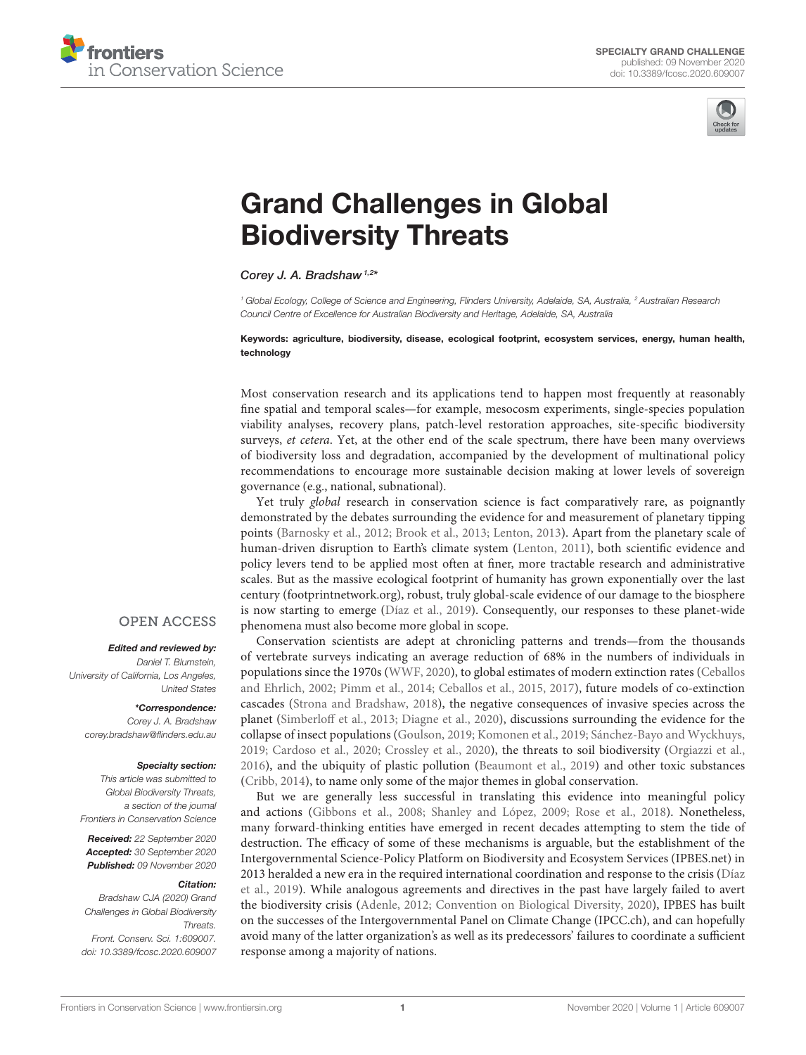



# [Grand Challenges in Global](https://www.frontiersin.org/articles/10.3389/fcosc.2020.609007/full) Biodiversity Threats

Corey J. A. Bradshaw<sup>1,2\*</sup>

<sup>1</sup> Global Ecology, College of Science and Engineering, Flinders University, Adelaide, SA, Australia, <sup>2</sup> Australian Research Council Centre of Excellence for Australian Biodiversity and Heritage, Adelaide, SA, Australia

#### Keywords: agriculture, biodiversity, disease, ecological footprint, ecosystem services, energy, human health, technology

Most conservation research and its applications tend to happen most frequently at reasonably fine spatial and temporal scales—for example, mesocosm experiments, single-species population viability analyses, recovery plans, patch-level restoration approaches, site-specific biodiversity surveys, et cetera. Yet, at the other end of the scale spectrum, there have been many overviews of biodiversity loss and degradation, accompanied by the development of multinational policy recommendations to encourage more sustainable decision making at lower levels of sovereign governance (e.g., national, subnational).

Yet truly global research in conservation science is fact comparatively rare, as poignantly demonstrated by the debates surrounding the evidence for and measurement of planetary tipping points [\(Barnosky et al., 2012;](#page-1-0) [Brook et al., 2013;](#page-1-1) [Lenton, 2013\)](#page-2-0). Apart from the planetary scale of human-driven disruption to Earth's climate system [\(Lenton, 2011\)](#page-2-1), both scientific evidence and policy levers tend to be applied most often at finer, more tractable research and administrative scales. But as the massive ecological footprint of humanity has grown exponentially over the last century [\(footprintnetwork.org\)](https://footprintnetwork.org), robust, truly global-scale evidence of our damage to the biosphere is now starting to emerge [\(Díaz et al., 2019\)](#page-1-2). Consequently, our responses to these planet-wide phenomena must also become more global in scope.

Conservation scientists are adept at chronicling patterns and trends—from the thousands of vertebrate surveys indicating an average reduction of 68% in the numbers of individuals in populations since the 1970s [\(WWF, 2020\)](#page-2-2), to global estimates of modern extinction rates (Ceballos and Ehrlich, [2002;](#page-1-3) [Pimm et al., 2014;](#page-2-3) [Ceballos et al., 2015,](#page-1-4) [2017\)](#page-1-5), future models of co-extinction cascades [\(Strona and Bradshaw, 2018\)](#page-2-4), the negative consequences of invasive species across the planet [\(Simberloff et al., 2013;](#page-2-5) [Diagne et al., 2020\)](#page-1-6), discussions surrounding the evidence for the collapse of insect populations [\(Goulson, 2019;](#page-2-6) [Komonen et al., 2019;](#page-2-7) [Sánchez-Bayo and Wyckhuys,](#page-2-8) [2019;](#page-2-8) [Cardoso et al., 2020;](#page-1-7) [Crossley et al., 2020\)](#page-1-8), the threats to soil biodiversity [\(Orgiazzi et al.,](#page-2-9) [2016\)](#page-2-9), and the ubiquity of plastic pollution [\(Beaumont et al., 2019\)](#page-1-9) and other toxic substances [\(Cribb, 2014\)](#page-1-10), to name only some of the major themes in global conservation.

But we are generally less successful in translating this evidence into meaningful policy and actions [\(Gibbons et al., 2008;](#page-2-10) [Shanley and López, 2009;](#page-2-11) [Rose et al., 2018\)](#page-2-12). Nonetheless, many forward-thinking entities have emerged in recent decades attempting to stem the tide of destruction. The efficacy of some of these mechanisms is arguable, but the establishment of the Intergovernmental Science-Policy Platform on Biodiversity and Ecosystem Services (IPBES.net) in 2013 heralded a new era in the required international coordination and response to the crisis (Díaz et al., [2019\)](#page-1-2). While analogous agreements and directives in the past have largely failed to avert the biodiversity crisis [\(Adenle, 2012;](#page-1-11) [Convention on Biological Diversity, 2020\)](#page-1-12), IPBES has built on the successes of the Intergovernmental Panel on Climate Change (IPCC.ch), and can hopefully avoid many of the latter organization's as well as its predecessors' failures to coordinate a sufficient response among a majority of nations.

## **OPEN ACCESS**

### Edited and reviewed by:

Daniel T. Blumstein, University of California, Los Angeles, United States

#### \*Correspondence:

Corey J. A. Bradshaw [corey.bradshaw@flinders.edu.au](mailto:corey.bradshaw@flinders.edu.au)

#### Specialty section:

This article was submitted to Global Biodiversity Threats, a section of the journal Frontiers in Conservation Science

Received: 22 September 2020 Accepted: 30 September 2020 Published: 09 November 2020

#### Citation:

Bradshaw CJA (2020) Grand Challenges in Global Biodiversity Threats. Front. Conserv. Sci. 1:609007. doi: [10.3389/fcosc.2020.609007](https://doi.org/10.3389/fcosc.2020.609007)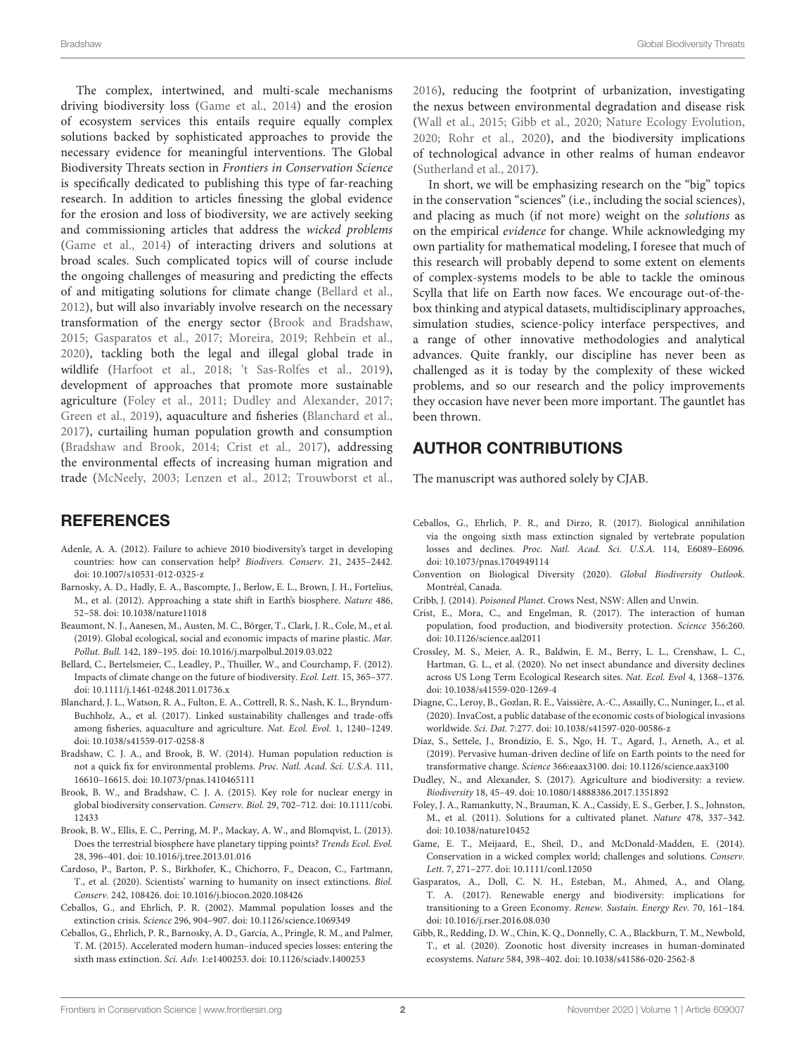The complex, intertwined, and multi-scale mechanisms driving biodiversity loss [\(Game et al., 2014\)](#page-1-13) and the erosion of ecosystem services this entails require equally complex solutions backed by sophisticated approaches to provide the necessary evidence for meaningful interventions. The Global Biodiversity Threats section in Frontiers in Conservation Science is specifically dedicated to publishing this type of far-reaching research. In addition to articles finessing the global evidence for the erosion and loss of biodiversity, we are actively seeking and commissioning articles that address the wicked problems [\(Game et al., 2014\)](#page-1-13) of interacting drivers and solutions at broad scales. Such complicated topics will of course include the ongoing challenges of measuring and predicting the effects of and mitigating solutions for climate change [\(Bellard et al.,](#page-1-14) [2012\)](#page-1-14), but will also invariably involve research on the necessary transformation of the energy sector [\(Brook and Bradshaw,](#page-1-15) [2015;](#page-1-15) [Gasparatos et al., 2017;](#page-1-16) [Moreira, 2019;](#page-2-13) [Rehbein et al.,](#page-2-14) [2020\)](#page-2-14), tackling both the legal and illegal global trade in wildlife [\(Harfoot et al., 2018;](#page-2-15) ['t Sas-Rolfes et al., 2019\)](#page-2-16), development of approaches that promote more sustainable agriculture [\(Foley et al., 2011;](#page-1-17) [Dudley and Alexander, 2017;](#page-1-18) [Green et al., 2019\)](#page-2-17), aquaculture and fisheries [\(Blanchard et al.,](#page-1-19) [2017\)](#page-1-19), curtailing human population growth and consumption [\(Bradshaw and Brook, 2014;](#page-1-20) [Crist et al., 2017\)](#page-1-21), addressing the environmental effects of increasing human migration and trade [\(McNeely, 2003;](#page-2-18) [Lenzen et al., 2012;](#page-2-19) [Trouwborst et al.,](#page-2-20)

# **REFERENCES**

- <span id="page-1-11"></span>Adenle, A. A. (2012). Failure to achieve 2010 biodiversity's target in developing countries: how can conservation help? Biodivers. Conserv. 21, 2435–2442. doi: [10.1007/s10531-012-0325-z](https://doi.org/10.1007/s10531-012-0325-z)
- <span id="page-1-0"></span>Barnosky, A. D., Hadly, E. A., Bascompte, J., Berlow, E. L., Brown, J. H., Fortelius, M., et al. (2012). Approaching a state shift in Earth's biosphere. Nature 486, 52–58. doi: [10.1038/nature11018](https://doi.org/10.1038/nature11018)
- <span id="page-1-9"></span>Beaumont, N. J., Aanesen, M., Austen, M. C., Börger, T., Clark, J. R., Cole, M., et al. (2019). Global ecological, social and economic impacts of marine plastic. Mar. Pollut. Bull. 142, 189–195. doi: [10.1016/j.marpolbul.2019.03.022](https://doi.org/10.1016/j.marpolbul.2019.03.022)
- <span id="page-1-14"></span>Bellard, C., Bertelsmeier, C., Leadley, P., Thuiller, W., and Courchamp, F. (2012). Impacts of climate change on the future of biodiversity. Ecol. Lett. 15, 365–377. doi: [10.1111/j.1461-0248.2011.01736.x](https://doi.org/10.1111/j.1461-0248.2011.01736.x)
- <span id="page-1-19"></span>Blanchard, J. L., Watson, R. A., Fulton, E. A., Cottrell, R. S., Nash, K. L., Bryndum-Buchholz, A., et al. (2017). Linked sustainability challenges and trade-offs among fisheries, aquaculture and agriculture. Nat. Ecol. Evol. 1, 1240–1249. doi: [10.1038/s41559-017-0258-8](https://doi.org/10.1038/s41559-017-0258-8)
- <span id="page-1-20"></span>Bradshaw, C. J. A., and Brook, B. W. (2014). Human population reduction is not a quick fix for environmental problems. Proc. Natl. Acad. Sci. U.S.A. 111, 16610–16615. doi: [10.1073/pnas.1410465111](https://doi.org/10.1073/pnas.1410465111)
- <span id="page-1-15"></span>Brook, B. W., and Bradshaw, C. J. A. (2015). Key role for nuclear energy in [global biodiversity conservation.](https://doi.org/10.1111/cobi.12433) Conserv. Biol. 29, 702–712. doi: 10.1111/cobi. 12433
- <span id="page-1-1"></span>Brook, B. W., Ellis, E. C., Perring, M. P., Mackay, A. W., and Blomqvist, L. (2013). Does the terrestrial biosphere have planetary tipping points? Trends Ecol. Evol. 28, 396–401. doi: [10.1016/j.tree.2013.01.016](https://doi.org/10.1016/j.tree.2013.01.016)
- <span id="page-1-7"></span>Cardoso, P., Barton, P. S., Birkhofer, K., Chichorro, F., Deacon, C., Fartmann, T., et al. (2020). Scientists' warning to humanity on insect extinctions. Biol. Conserv. 242, 108426. doi: [10.1016/j.biocon.2020.108426](https://doi.org/10.1016/j.biocon.2020.108426)
- <span id="page-1-3"></span>Ceballos, G., and Ehrlich, P. R. (2002). Mammal population losses and the extinction crisis. Science 296, 904–907. doi: [10.1126/science.1069349](https://doi.org/10.1126/science.1069349)
- <span id="page-1-4"></span>Ceballos, G., Ehrlich, P. R., Barnosky, A. D., García, A., Pringle, R. M., and Palmer, T. M. (2015). Accelerated modern human–induced species losses: entering the sixth mass extinction. Sci. Adv. 1:e1400253. doi: [10.1126/sciadv.1400253](https://doi.org/10.1126/sciadv.1400253)

[2016\)](#page-2-20), reducing the footprint of urbanization, investigating the nexus between environmental degradation and disease risk [\(Wall et al., 2015;](#page-2-21) [Gibb et al., 2020;](#page-1-22) [Nature Ecology Evolution,](#page-2-22) [2020;](#page-2-22) [Rohr et al., 2020\)](#page-2-23), and the biodiversity implications of technological advance in other realms of human endeavor [\(Sutherland et al., 2017\)](#page-2-24).

In short, we will be emphasizing research on the "big" topics in the conservation "sciences" (i.e., including the social sciences), and placing as much (if not more) weight on the solutions as on the empirical evidence for change. While acknowledging my own partiality for mathematical modeling, I foresee that much of this research will probably depend to some extent on elements of complex-systems models to be able to tackle the ominous Scylla that life on Earth now faces. We encourage out-of-thebox thinking and atypical datasets, multidisciplinary approaches, simulation studies, science-policy interface perspectives, and a range of other innovative methodologies and analytical advances. Quite frankly, our discipline has never been as challenged as it is today by the complexity of these wicked problems, and so our research and the policy improvements they occasion have never been more important. The gauntlet has been thrown.

## AUTHOR CONTRIBUTIONS

The manuscript was authored solely by CJAB.

- <span id="page-1-5"></span>Ceballos, G., Ehrlich, P. R., and Dirzo, R. (2017). Biological annihilation via the ongoing sixth mass extinction signaled by vertebrate population losses and declines. Proc. Natl. Acad. Sci. U.S.A. 114, E6089–E6096. doi: [10.1073/pnas.1704949114](https://doi.org/10.1073/pnas.1704949114)
- <span id="page-1-12"></span>Convention on Biological Diversity (2020). Global Biodiversity Outlook. Montréal, Canada.
- <span id="page-1-10"></span>Cribb, J. (2014). Poisoned Planet. Crows Nest, NSW: Allen and Unwin.
- <span id="page-1-21"></span>Crist, E., Mora, C., and Engelman, R. (2017). The interaction of human population, food production, and biodiversity protection. Science 356:260. doi: [10.1126/science.aal2011](https://doi.org/10.1126/science.aal2011)
- <span id="page-1-8"></span>Crossley, M. S., Meier, A. R., Baldwin, E. M., Berry, L. L., Crenshaw, L. C., Hartman, G. L., et al. (2020). No net insect abundance and diversity declines across US Long Term Ecological Research sites. Nat. Ecol. Evol 4, 1368–1376. doi: [10.1038/s41559-020-1269-4](https://doi.org/10.1038/s41559-020-1269-4)
- <span id="page-1-6"></span>Diagne, C., Leroy, B., Gozlan, R. E., Vaissière, A.-C., Assailly, C., Nuninger, L., et al. (2020). InvaCost, a public database of the economic costs of biological invasions worldwide. Sci. Dat. 7:277. doi: [10.1038/s41597-020-00586-z](https://doi.org/10.1038/s41597-020-00586-z)
- <span id="page-1-2"></span>Díaz, S., Settele, J., Brondízio, E. S., Ngo, H. T., Agard, J., Arneth, A., et al. (2019). Pervasive human-driven decline of life on Earth points to the need for transformative change. Science 366:eaax3100. doi: [10.1126/science.aax3100](https://doi.org/10.1126/science.aax3100)
- <span id="page-1-18"></span>Dudley, N., and Alexander, S. (2017). Agriculture and biodiversity: a review. Biodiversity 18, 45–49. doi: [10.1080/14888386.2017.1351892](https://doi.org/10.1080/14888386.2017.1351892)
- <span id="page-1-17"></span>Foley, J. A., Ramankutty, N., Brauman, K. A., Cassidy, E. S., Gerber, J. S., Johnston, M., et al. (2011). Solutions for a cultivated planet. Nature 478, 337–342. doi: [10.1038/nature10452](https://doi.org/10.1038/nature10452)
- <span id="page-1-13"></span>Game, E. T., Meijaard, E., Sheil, D., and McDonald-Madden, E. (2014). Conservation in a wicked complex world; challenges and solutions. Conserv. Lett. 7, 271–277. doi: [10.1111/conl.12050](https://doi.org/10.1111/conl.12050)
- <span id="page-1-16"></span>Gasparatos, A., Doll, C. N. H., Esteban, M., Ahmed, A., and Olang, T. A. (2017). Renewable energy and biodiversity: implications for transitioning to a Green Economy. Renew. Sustain. Energy Rev. 70, 161–184. doi: [10.1016/j.rser.2016.08.030](https://doi.org/10.1016/j.rser.2016.08.030)
- <span id="page-1-22"></span>Gibb, R., Redding, D. W., Chin, K. Q., Donnelly, C. A., Blackburn, T. M., Newbold, T., et al. (2020). Zoonotic host diversity increases in human-dominated ecosystems. Nature 584, 398–402. doi: [10.1038/s41586-020-2562-8](https://doi.org/10.1038/s41586-020-2562-8)